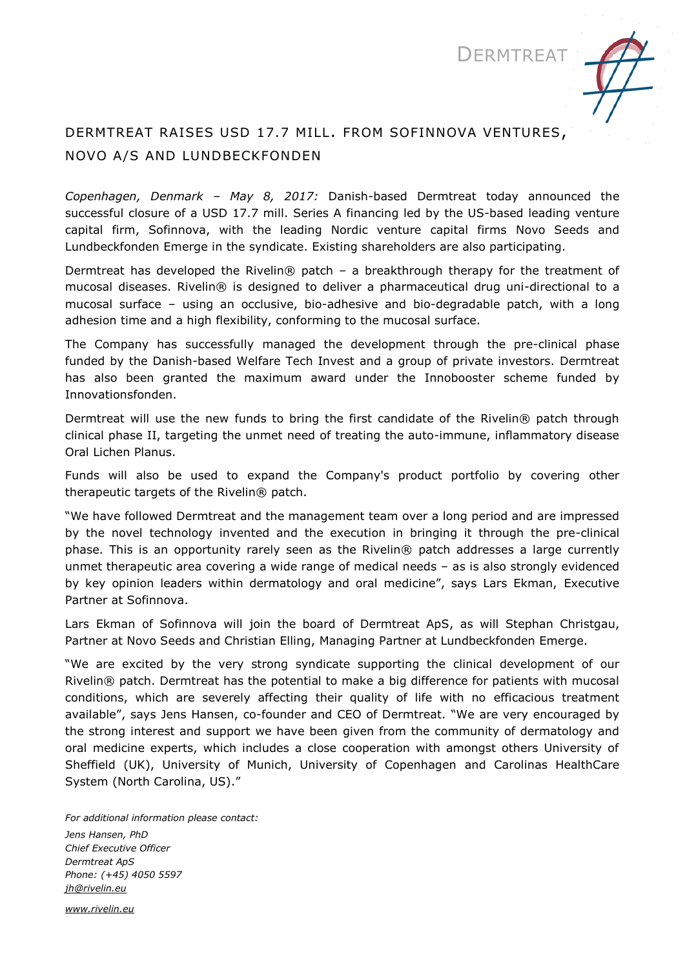

# DERMTREAT RAISES USD 17.7 MILL. FROM SOFINNOVA VENTURES, NOVO A/S AND LUNDBECKFONDEN

*Copenhagen, Denmark – May 8, 2017:* Danish-based Dermtreat today announced the successful closure of a USD 17.7 mill. Series A financing led by the US-based leading venture capital firm, Sofinnova, with the leading Nordic venture capital firms Novo Seeds and Lundbeckfonden Emerge in the syndicate. Existing shareholders are also participating.

Dermtreat has developed the Rivelin® patch - a breakthrough therapy for the treatment of mucosal diseases. Rivelin® is designed to deliver a pharmaceutical drug uni-directional to a mucosal surface – using an occlusive, bio-adhesive and bio-degradable patch, with a long adhesion time and a high flexibility, conforming to the mucosal surface.

The Company has successfully managed the development through the pre-clinical phase funded by the Danish-based Welfare Tech Invest and a group of private investors. Dermtreat has also been granted the maximum award under the Innobooster scheme funded by Innovationsfonden.

Dermtreat will use the new funds to bring the first candidate of the Rivelin® patch through clinical phase II, targeting the unmet need of treating the auto-immune, inflammatory disease Oral Lichen Planus.

Funds will also be used to expand the Company's product portfolio by covering other therapeutic targets of the Rivelin® patch.

"We have followed Dermtreat and the management team over a long period and are impressed by the novel technology invented and the execution in bringing it through the pre-clinical phase. This is an opportunity rarely seen as the Rivelin® patch addresses a large currently unmet therapeutic area covering a wide range of medical needs – as is also strongly evidenced by key opinion leaders within dermatology and oral medicine", says Lars Ekman, Executive Partner at Sofinnova.

Lars Ekman of Sofinnova will join the board of Dermtreat ApS, as will Stephan Christgau, Partner at Novo Seeds and Christian Elling, Managing Partner at Lundbeckfonden Emerge.

"We are excited by the very strong syndicate supporting the clinical development of our Rivelin® patch. Dermtreat has the potential to make a big difference for patients with mucosal conditions, which are severely affecting their quality of life with no efficacious treatment available", says Jens Hansen, co-founder and CEO of Dermtreat. "We are very encouraged by the strong interest and support we have been given from the community of dermatology and oral medicine experts, which includes a close cooperation with amongst others University of Sheffield (UK), University of Munich, University of Copenhagen and Carolinas HealthCare System (North Carolina, US)."

*For additional information please contact: Jens Hansen, PhD Chief Executive Officer Dermtreat ApS Phone: (+45) 4050 5597 [jh@rivelin.eu](mailto:jh@rivelin.eu)*

*[www.rivelin.eu](http://www.rivelin.eu/)*